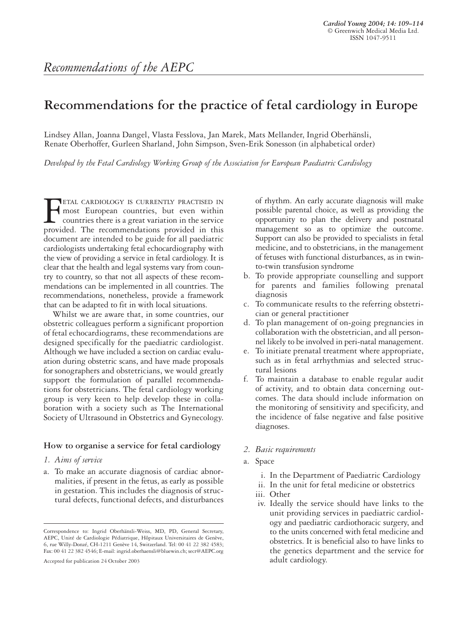# **Recommendations for the practice of fetal cardiology in Europe**

Lindsey Allan, Joanna Dangel, Vlasta Fesslova, Jan Marek, Mats Mellander, Ingrid Oberhänsli, Renate Oberhoffer, Gurleen Sharland, John Simpson, Sven-Erik Sonesson (in alphabetical order)

*Developed by the Fetal Cardiology Working Group of the Association for European Paediatric Cardiology*

FTAL CARDIOLOGY IS CURRENTLY PRACTISED IN most European countries, but even within countries there is a great variation in the service provided. The recommendations provided in this most European countries, but even within countries there is a great variation in the service provided. The recommendations provided in this document are intended to be guide for all paediatric cardiologists undertaking fetal echocardiography with the view of providing a service in fetal cardiology. It is clear that the health and legal systems vary from country to country, so that not all aspects of these recommendations can be implemented in all countries. The recommendations, nonetheless, provide a framework that can be adapted to fit in with local situations.

Whilst we are aware that, in some countries, our obstetric colleagues perform a significant proportion of fetal echocardiograms, these recommendations are designed specifically for the paediatric cardiologist. Although we have included a section on cardiac evaluation during obstetric scans, and have made proposals for sonographers and obstetricians, we would greatly support the formulation of parallel recommendations for obstetricians. The fetal cardiology working group is very keen to help develop these in collaboration with a society such as The International Society of Ultrasound in Obstetrics and Gynecology.

#### **How to organise a service for fetal cardiology**

#### *1. Aims of service*

a. To make an accurate diagnosis of cardiac abnormalities, if present in the fetus, as early as possible in gestation. This includes the diagnosis of structural defects, functional defects, and disturbances

Accepted for publication 24 October 2003

of rhythm. An early accurate diagnosis will make possible parental choice, as well as providing the opportunity to plan the delivery and postnatal management so as to optimize the outcome. Support can also be provided to specialists in fetal medicine, and to obstetricians, in the management of fetuses with functional disturbances, as in twinto-twin transfusion syndrome

- b. To provide appropriate counselling and support for parents and families following prenatal diagnosis
- c. To communicate results to the referring obstetrician or general practitioner
- d. To plan management of on-going pregnancies in collaboration with the obstetrician, and all personnel likely to be involved in peri-natal management.
- e. To initiate prenatal treatment where appropriate, such as in fetal arrhythmias and selected structural lesions
- f. To maintain a database to enable regular audit of activity, and to obtain data concerning outcomes. The data should include information on the monitoring of sensitivity and specificity, and the incidence of false negative and false positive diagnoses.

#### *2. Basic requirements*

- a. Space
	- i. In the Department of Paediatric Cardiology
	- ii. In the unit for fetal medicine or obstetrics
	- iii. Other
	- iv. Ideally the service should have links to the unit providing services in paediatric cardiology and paediatric cardiothoracic surgery, and to the units concerned with fetal medicine and obstetrics. It is beneficial also to have links to the genetics department and the service for adult cardiology.

Correspondence to: Ingrid Oberhänsli-Weiss, MD, PD, General Secretary, AEPC, Unité de Cardiologie Pédiatrique, Hôpitaux Universitaires de Genève, 6, rue Willy-Donzé, CH-1211 Genève 14, Switzerland. Tel: 00 41 22 382 4583; Fax: 00 41 22 382 4546; E-mail: ingrid.oberhaensli@bluewin.ch; secr@AEPC.org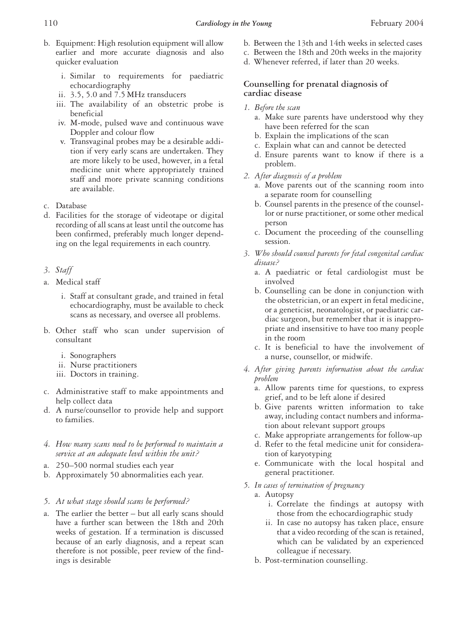- b. Equipment: High resolution equipment will allow earlier and more accurate diagnosis and also quicker evaluation
	- i. Similar to requirements for paediatric echocardiography
	- ii. 3.5, 5.0 and 7.5 MHz transducers
	- iii. The availability of an obstetric probe is beneficial
	- iv. M-mode, pulsed wave and continuous wave Doppler and colour flow
	- v. Transvaginal probes may be a desirable addition if very early scans are undertaken. They are more likely to be used, however, in a fetal medicine unit where appropriately trained staff and more private scanning conditions are available.
- c. Database
- d. Facilities for the storage of videotape or digital recording of all scans at least until the outcome has been confirmed, preferably much longer depending on the legal requirements in each country.
- *3. Staff*
- a. Medical staff
	- i. Staff at consultant grade, and trained in fetal echocardiography, must be available to check scans as necessary, and oversee all problems.
- b. Other staff who scan under supervision of consultant
	- i. Sonographers
	- ii. Nurse practitioners
	- iii. Doctors in training.
- c. Administrative staff to make appointments and help collect data
- d. A nurse/counsellor to provide help and support to families.
- *4. How many scans need to be performed to maintain a service at an adequate level within the unit?*
- a. 250–500 normal studies each year
- b. Approximately 50 abnormalities each year.
- *5. At what stage should scans be performed?*
- a. The earlier the better but all early scans should have a further scan between the 18th and 20th weeks of gestation. If a termination is discussed because of an early diagnosis, and a repeat scan therefore is not possible, peer review of the findings is desirable
- b. Between the 13th and 14th weeks in selected cases
- c. Between the 18th and 20th weeks in the majority
- d. Whenever referred, if later than 20 weeks.

#### **Counselling for prenatal diagnosis of cardiac disease**

- *1. Before the scan*
	- a. Make sure parents have understood why they have been referred for the scan
	- b. Explain the implications of the scan
	- c. Explain what can and cannot be detected
	- d. Ensure parents want to know if there is a problem.
- *2. After diagnosis of a problem*
	- a. Move parents out of the scanning room into a separate room for counselling
	- b. Counsel parents in the presence of the counsellor or nurse practitioner, or some other medical person
	- c. Document the proceeding of the counselling session.
- *3. Who should counsel parents for fetal congenital cardiac disease?*
	- a. A paediatric or fetal cardiologist must be involved
	- b. Counselling can be done in conjunction with the obstetrician, or an expert in fetal medicine, or a geneticist, neonatologist, or paediatric cardiac surgeon, but remember that it is inappropriate and insensitive to have too many people in the room
	- c. It is beneficial to have the involvement of a nurse, counsellor, or midwife.
- *4. After giving parents information about the cardiac problem*
	- a. Allow parents time for questions, to express grief, and to be left alone if desired
	- b. Give parents written information to take away, including contact numbers and information about relevant support groups
	- c. Make appropriate arrangements for follow-up
	- d. Refer to the fetal medicine unit for consideration of karyotyping
	- e. Communicate with the local hospital and general practitioner.
- *5. In cases of termination of pregnancy*
	- a. Autopsy
		- i. Correlate the findings at autopsy with those from the echocardiographic study
		- ii. In case no autopsy has taken place, ensure that a video recording of the scan is retained, which can be validated by an experienced colleague if necessary.
	- b. Post-termination counselling.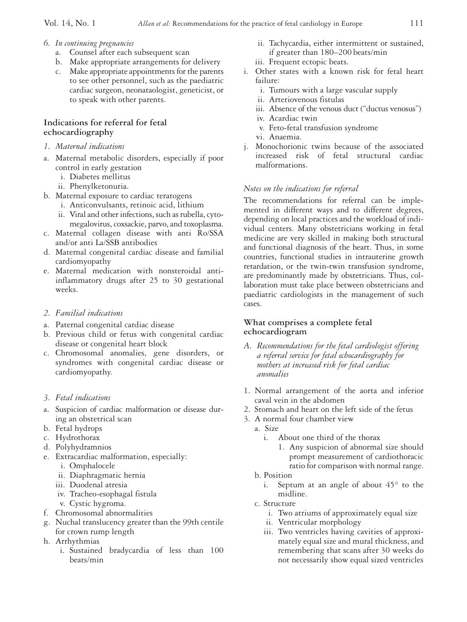- *6. In continuing pregnancies*
	- a. Counsel after each subsequent scan
	- b. Make appropriate arrangements for delivery
	- c. Make appropriate appointments for the parents to see other personnel, such as the paediatric cardiac surgeon, neonataologist, geneticist, or to speak with other parents.

## **Indications for referral for fetal echocardiography**

- *1. Maternal indications*
- a. Maternal metabolic disorders, especially if poor control in early gestation
	- i. Diabetes mellitus
	- ii. Phenylketonuria.
- b. Maternal exposure to cardiac teratogens
	- i. Anticonvulsants, retinoic acid, lithium
	- ii. Viral and other infections, such as rubella, cytomegalovirus, coxsackie, parvo, and toxoplasma.
- c. Maternal collagen disease with anti Ro/SSA and/or anti La/SSB antibodies
- d. Maternal congenital cardiac disease and familial cardiomyopathy
- e. Maternal medication with nonsteroidal antiinflammatory drugs after 25 to 30 gestational weeks.
- *2. Familial indications*
- a. Paternal congenital cardiac disease
- b. Previous child or fetus with congenital cardiac disease or congenital heart block
- c. Chromosomal anomalies, gene disorders, or syndromes with congenital cardiac disease or cardiomyopathy.
- *3. Fetal indications*
- a. Suspicion of cardiac malformation or disease during an obstetrical scan
- b. Fetal hydrops
- c. Hydrothorax
- d. Polyhydramnios
- e. Extracardiac malformation, especially:
	- i. Omphalocele
	- ii. Diaphragmatic hernia
	- iii. Duodenal atresia
	- iv. Tracheo-esophagal fistula
	- v. Cystic hygroma.
- f. Chromosomal abnormalities
- g. Nuchal translucency greater than the 99th centile for crown rump length
- h. Arrhythmias
	- i. Sustained bradycardia of less than 100 beats/min
- ii. Tachycardia, either intermittent or sustained, if greater than 180–200 beats/min
- iii. Frequent ectopic beats.
- i. Other states with a known risk for fetal heart failure:
	- i. Tumours with a large vascular supply
	- ii. Arteriovenous fistulas
	- iii. Absence of the venous duct ("ductus venosus")
	- iv. Acardiac twin
	- v. Feto-fetal transfusion syndrome
	- vi. Anaemia.
- j. Monochorionic twins because of the associated increased risk of fetal structural cardiac malformations.

## *Notes on the indications for referral*

The recommendations for referral can be implemented in different ways and to different degrees, depending on local practices and the workload of individual centers. Many obstetricians working in fetal medicine are very skilled in making both structural and functional diagnosis of the heart. Thus, in some countries, functional studies in intrauterine growth retardation, or the twin-twin transfusion syndrome, are predominantly made by obstetricians. Thus, collaboration must take place between obstetricians and paediatric cardiologists in the management of such cases.

## **What comprises a complete fetal echocardiogram**

- *A. Recommendations for the fetal cardiologist offering a referral service for fetal echocardiography for mothers at increased risk for fetal cardiac anomalies*
- 1. Normal arrangement of the aorta and inferior caval vein in the abdomen
- 2. Stomach and heart on the left side of the fetus
- 3. A normal four chamber view
	- a. Size
		- i. About one third of the thorax
			- 1. Any suspicion of abnormal size should prompt measurement of cardiothoracic ratio for comparison with normal range.
	- b. Position
		- i. Septum at an angle of about 45° to the midline.
	- c. Structure
		- i. Two atriums of approximately equal size
		- ii. Ventricular morphology
		- iii. Two ventricles having cavities of approximately equal size and mural thickness, and remembering that scans after 30 weeks do not necessarily show equal sized ventricles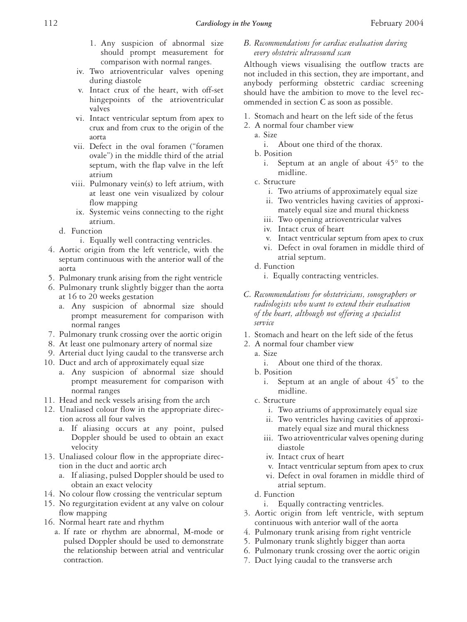- 1. Any suspicion of abnormal size should prompt measurement for comparison with normal ranges.
- iv. Two atrioventricular valves opening during diastole
- v. Intact crux of the heart, with off-set hingepoints of the atrioventricular valves
- vi. Intact ventricular septum from apex to crux and from crux to the origin of the aorta
- vii. Defect in the oval foramen ("foramen ovale") in the middle third of the atrial septum, with the flap valve in the left atrium
- viii. Pulmonary vein(s) to left atrium, with at least one vein visualized by colour flow mapping
- ix. Systemic veins connecting to the right atrium.
- d. Function
	- i. Equally well contracting ventricles.
- 4. Aortic origin from the left ventricle, with the septum continuous with the anterior wall of the aorta
- 5. Pulmonary trunk arising from the right ventricle
- 6. Pulmonary trunk slightly bigger than the aorta at 16 to 20 weeks gestation
	- a. Any suspicion of abnormal size should prompt measurement for comparison with normal ranges
- 7. Pulmonary trunk crossing over the aortic origin
- 8. At least one pulmonary artery of normal size
- 9. Arterial duct lying caudal to the transverse arch
- 10. Duct and arch of approximately equal size
	- a. Any suspicion of abnormal size should prompt measurement for comparison with normal ranges
- 11. Head and neck vessels arising from the arch
- 12. Unaliased colour flow in the appropriate direction across all four valves
	- a. If aliasing occurs at any point, pulsed Doppler should be used to obtain an exact velocity
- 13. Unaliased colour flow in the appropriate direction in the duct and aortic arch
	- a. If aliasing, pulsed Doppler should be used to obtain an exact velocity
- 14. No colour flow crossing the ventricular septum
- 15. No regurgitation evident at any valve on colour flow mapping
- 16. Normal heart rate and rhythm
	- a. If rate or rhythm are abnormal, M-mode or pulsed Doppler should be used to demonstrate the relationship between atrial and ventricular contraction.

## *B. Recommendations for cardiac evaluation during every obstetric ultrasound scan*

Although views visualising the outflow tracts are not included in this section, they are important, and anybody performing obstetric cardiac screening should have the ambition to move to the level recommended in section C as soon as possible.

- 1. Stomach and heart on the left side of the fetus
- 2. A normal four chamber view
	- a. Size
		- i. About one third of the thorax.
	- b. Position
		- i. Septum at an angle of about 45° to the midline.
	- c. Structure
		- i. Two atriums of approximately equal size
		- ii. Two ventricles having cavities of approximately equal size and mural thickness
		- iii. Two opening atrioventricular valves
		- iv. Intact crux of heart
		- v. Intact ventricular septum from apex to crux
		- vi. Defect in oval foramen in middle third of atrial septum.
	- d. Function
		- i. Equally contracting ventricles.
- *C. Recommendations for obstetricians, sonographers or radiologists who want to extend their evaluation of the heart, although not offering a specialist service*
- 1. Stomach and heart on the left side of the fetus
- 2. A normal four chamber view
	- a. Size
		- i. About one third of the thorax.
	- b. Position
		- i. Septum at an angle of about 45° to the midline.
	- c. Structure
		- i. Two atriums of approximately equal size
		- ii. Two ventricles having cavities of approximately equal size and mural thickness
		- iii. Two atrioventricular valves opening during diastole
		- iv. Intact crux of heart
		- v. Intact ventricular septum from apex to crux
		- vi. Defect in oval foramen in middle third of atrial septum.
	- d. Function
	- i. Equally contracting ventricles.
- 3. Aortic origin from left ventricle, with septum continuous with anterior wall of the aorta
- 4. Pulmonary trunk arising from right ventricle
- 5. Pulmonary trunk slightly bigger than aorta
- 6. Pulmonary trunk crossing over the aortic origin
- 7. Duct lying caudal to the transverse arch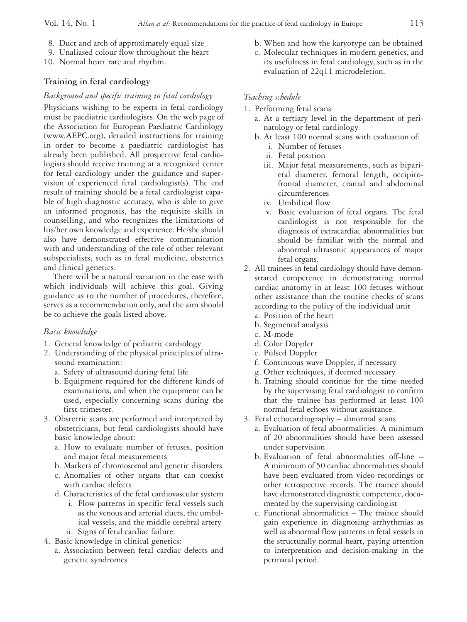- 8. Duct and arch of approximately equal size
- 9. Unaliased colour flow throughout the heart
- 10. Normal heart rate and rhythm.

## **Training in fetal cardiology**

#### *Background and specific training in fetal cardiology*

Physicians wishing to be experts in fetal cardiology must be paediatric cardiologists. On the web page of the Association for European Paediatric Cardiology (www.AEPC.org), detailed instructions for training in order to become a paediatric cardiologist has already been published. All prospective fetal cardiologists should receive training at a recognized center for fetal cardiology under the guidance and supervision of experienced fetal cardiologist(s). The end result of training should be a fetal cardiologist capable of high diagnostic accuracy, who is able to give an informed prognosis, has the requisite skills in counselling, and who recognizes the limitations of his/her own knowledge and experience. He/she should also have demonstrated effective communication with and understanding of the role of other relevant subspecialists, such as in fetal medicine, obstetrics and clinical genetics.

There will be a natural variation in the ease with which individuals will achieve this goal. Giving guidance as to the number of procedures, therefore, serves as a recommendation only, and the aim should be to achieve the goals listed above.

#### *Basic knowledge*

- 1. General knowledge of pediatric cardiology
- 2. Understanding of the physical principles of ultrasound examination:
	- a. Safety of ultrasound during fetal life
	- b. Equipment required for the different kinds of examinations, and when the equipment can be used, especially concerning scans during the first trimester.
- 3. Obstetric scans are performed and interpreted by obstetricians, but fetal cardiologists should have basic knowledge about:
	- a. How to evaluate number of fetuses, position and major fetal measurements
	- b. Markers of chromosomal and genetic disorders
	- c. Anomalies of other organs that can coexist with cardiac defects
	- d. Characteristics of the fetal cardiovascular system
		- i. Flow patterns in specific fetal vessels such as the venous and arterial ducts, the umbilical vessels, and the middle cerebral artery ii. Signs of fetal cardiac failure.
- 4. Basic knowledge in clinical genetics:
	- a. Association between fetal cardiac defects and genetic syndromes
- b. When and how the karyotype can be obtained
- c. Molecular techniques in modern genetics, and its usefulness in fetal cardiology, such as in the evaluation of 22q11 microdeletion.

## *Teaching schedule*

- 1. Performing fetal scans
	- a. At a tertiary level in the department of perinatology or fetal cardiology
	- b. At least 100 normal scans with evaluation of:
		- i. Number of fetuses
		- ii. Fetal position
		- iii. Major fetal measurements, such as biparietal diameter, femoral length, occipitofrontal diameter, cranial and abdominal circumferences
		- iv. Umbilical flow
		- v. Basic evaluation of fetal organs. The fetal cardiologist is not responsible for the diagnosis of extracardiac abnormalities but should be familiar with the normal and abnormal ultrasonic appearances of major fetal organs.
- 2. All trainees in fetal cardiology should have demonstrated competence in demonstrating normal cardiac anatomy in at least 100 fetuses without other assistance than the routine checks of scans according to the policy of the individual unit
	- a. Position of the heart b. Segmental analysis
	- c. M-mode
	- d. Color Doppler
	- e. Pulsed Doppler
	- f. Continuous wave Doppler, if necessary
	- g. Other techniques, if deemed necessary
	- h. Training should continue for the time needed by the supervising fetal cardiologist to confirm that the trainee has performed at least 100 normal fetal echoes without assistance.
- 3. Fetal echocardiography abnormal scans
	- a. Evaluation of fetal abnormalities. A minimum of 20 abnormalities should have been assessed under supervision
	- b. Evaluation of fetal abnormalities off-line A minimum of 50 cardiac abnormalities should have been evaluated from video recordings or other retrospective records. The trainee should have demonstrated diagnostic competence, documented by the supervising cardiologist
	- c. Functional abnormalities The trainee should gain experience in diagnosing arrhythmias as well as abnormal flow patterns in fetal vessels in the structurally normal heart, paying attention to interpretation and decision-making in the perinatal period.